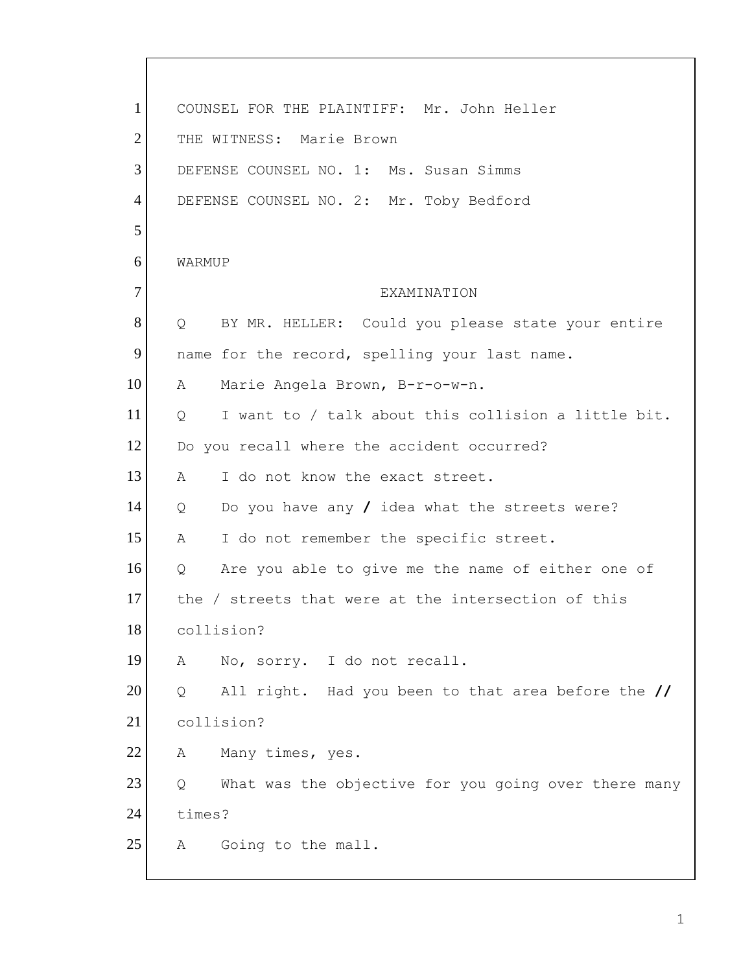| 1              | COUNSEL FOR THE PLAINTIFF: Mr. John Heller                            |
|----------------|-----------------------------------------------------------------------|
| $\overline{2}$ | THE WITNESS: Marie Brown                                              |
| 3              | DEFENSE COUNSEL NO. 1: Ms. Susan Simms                                |
| $\overline{4}$ | DEFENSE COUNSEL NO. 2: Mr. Toby Bedford                               |
| 5              |                                                                       |
| 6              | WARMUP                                                                |
| $\overline{7}$ | EXAMINATION                                                           |
| 8              | BY MR. HELLER: Could you please state your entire<br>$Q_{\rm max}$    |
| 9              | name for the record, spelling your last name.                         |
| 10             | Marie Angela Brown, B-r-o-w-n.<br>A                                   |
| 11             | I want to / talk about this collision a little bit.<br>$\overline{Q}$ |
| 12             | Do you recall where the accident occurred?                            |
| 13             | I do not know the exact street.<br>A                                  |
| 14             | Do you have any $/$ idea what the streets were?<br>Q                  |
| 15             | I do not remember the specific street.<br>Α                           |
| 16             | Are you able to give me the name of either one of<br>Q                |
| 17             | the / streets that were at the intersection of this                   |
| 18             | collision?                                                            |
| 19             | No, sorry. I do not recall.<br>А                                      |
| 20             | All right. Had you been to that area before the //<br>Q               |
| 21             | collision?                                                            |
| 22             | Many times, yes.<br>A                                                 |
| 23             | What was the objective for you going over there many<br>Q             |
| 24             | times?                                                                |
| 25             | Going to the mall.<br>A                                               |
|                |                                                                       |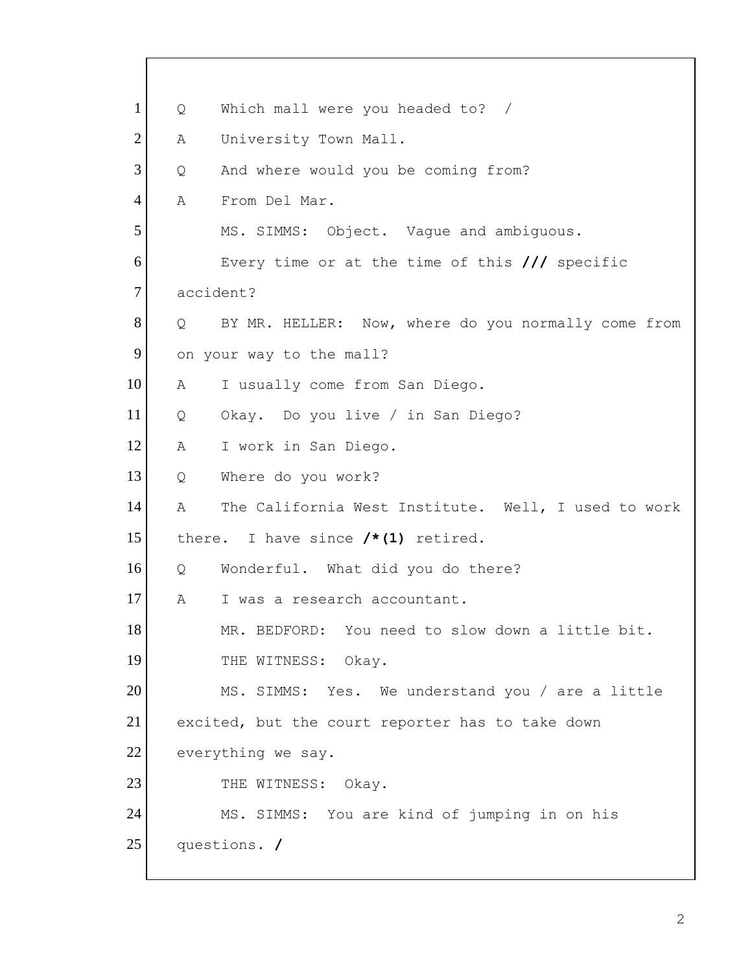1 Q Which mall were you headed to? / 2 A University Town Mall. 3 Q And where would you be coming from? 4 A From Del Mar. 5 MS. SIMMS: Object. Vague and ambiguous. 6 Every time or at the time of this **///** specific 7 accident? 8 | Q BY MR. HELLER: Now, where do you normally come from 9 on your way to the mall? 10 A I usually come from San Diego. 11 Q Okay. Do you live / in San Diego? 12 A I work in San Diego. 13 Q Where do you work? 14 A The California West Institute. Well, I used to work 15 there. I have since **/\*(1)** retired. 16 Q Wonderful. What did you do there? 17 A I was a research accountant. 18 MR. BEDFORD: You need to slow down a little bit. 19 THE WITNESS: Okay. 20 MS. SIMMS: Yes. We understand you / are a little 21 excited, but the court reporter has to take down 22 everything we say. 23 THE WITNESS: Okay. 24 MS. SIMMS: You are kind of jumping in on his 25 questions. **/**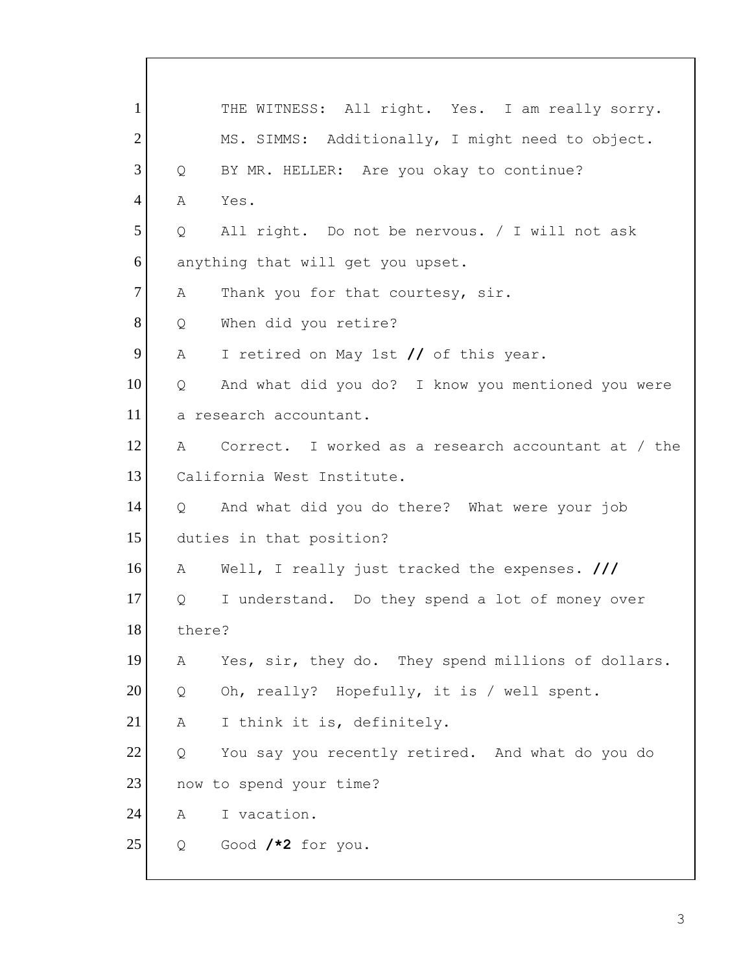1 THE WITNESS: All right. Yes. I am really sorry. 2 MS. SIMMS: Additionally, I might need to object. 3 Q BY MR. HELLER: Are you okay to continue? 4 A Yes.  $5$  Q All right. Do not be nervous. / I will not ask 6 anything that will get you upset. 7 A Thank you for that courtesy, sir. 8 Q When did you retire? 9 A I retired on May 1st // of this year. 10 | Q And what did you do? I know you mentioned you were 11 a research accountant. 12 A Correct. I worked as a research accountant at / the 13 California West Institute. 14 Q And what did you do there? What were your job 15 duties in that position? 16 A Well, I really just tracked the expenses. **///** 17 | Q I understand. Do they spend a lot of money over 18 there? 19 A Yes, sir, they do. They spend millions of dollars.  $20$  Q Oh, really? Hopefully, it is / well spent. 21 | A I think it is, definitely. 22 Q You say you recently retired. And what do you do 23 now to spend your time? 24 A I vacation. 25 Q Good **/\*2** for you.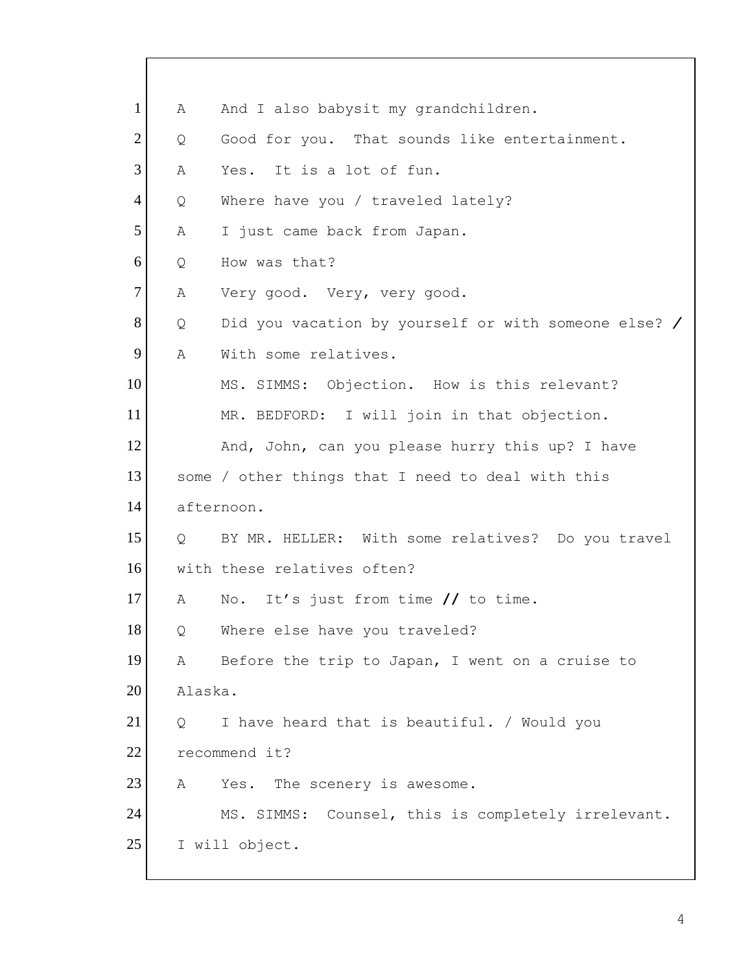| $\mathbf{1}$   | Α          | And I also babysit my grandchildren.                 |
|----------------|------------|------------------------------------------------------|
| $\overline{2}$ | Q          | Good for you. That sounds like entertainment.        |
| 3              | A          | Yes. It is a lot of fun.                             |
| $\overline{4}$ | Q          | Where have you / traveled lately?                    |
| 5              | Α          | I just came back from Japan.                         |
| 6              | Q          | How was that?                                        |
| $\tau$         | Α          | Very good. Very, very good.                          |
| 8              | Q          | Did you vacation by yourself or with someone else? / |
| 9              | Α          | With some relatives.                                 |
| 10             |            | MS. SIMMS: Objection. How is this relevant?          |
| 11             |            | MR. BEDFORD: I will join in that objection.          |
| 12             |            | And, John, can you please hurry this up? I have      |
| 13             |            | some / other things that I need to deal with this    |
| 14             |            | afternoon.                                           |
| 15             | $Q \qquad$ | BY MR. HELLER: With some relatives? Do you travel    |
| 16             |            | with these relatives often?                          |
| 17             | A          | No. It's just from time // to time.                  |
| 18             | Q          | Where else have you traveled?                        |
| 19             | Α          | Before the trip to Japan, I went on a cruise to      |
| 20             | Alaska.    |                                                      |
| 21             | Q          | I have heard that is beautiful. / Would you          |
| 22             |            | recommend it?                                        |
| 23             | Α          | The scenery is awesome.<br>Yes.                      |
| 24             |            | MS. SIMMS: Counsel, this is completely irrelevant.   |
| 25             |            | I will object.                                       |
|                |            |                                                      |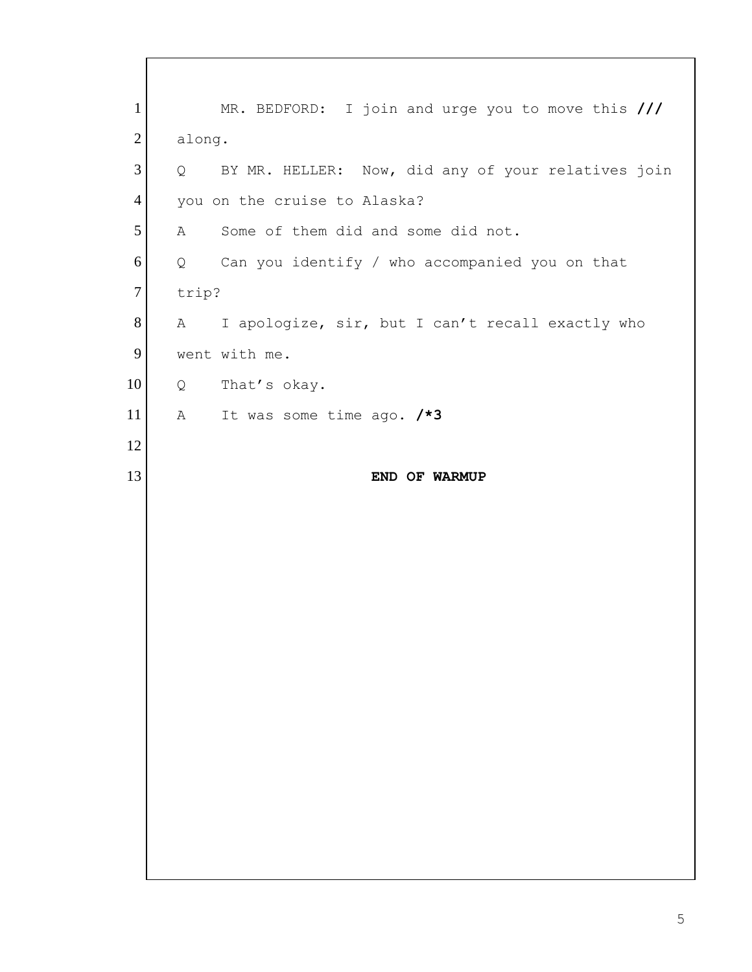1 MR. BEDFORD: I join and urge you to move this **///** 2 along. 3 Q BY MR. HELLER: Now, did any of your relatives join 4 you on the cruise to Alaska? 5 A Some of them did and some did not. 6 Q Can you identify / who accompanied you on that 7 trip? 8 A I apologize, sir, but I can't recall exactly who 9 went with me. 10 Q That's okay. 11 A It was some time ago. **/\*3** 12 13 **END OF WARMUP**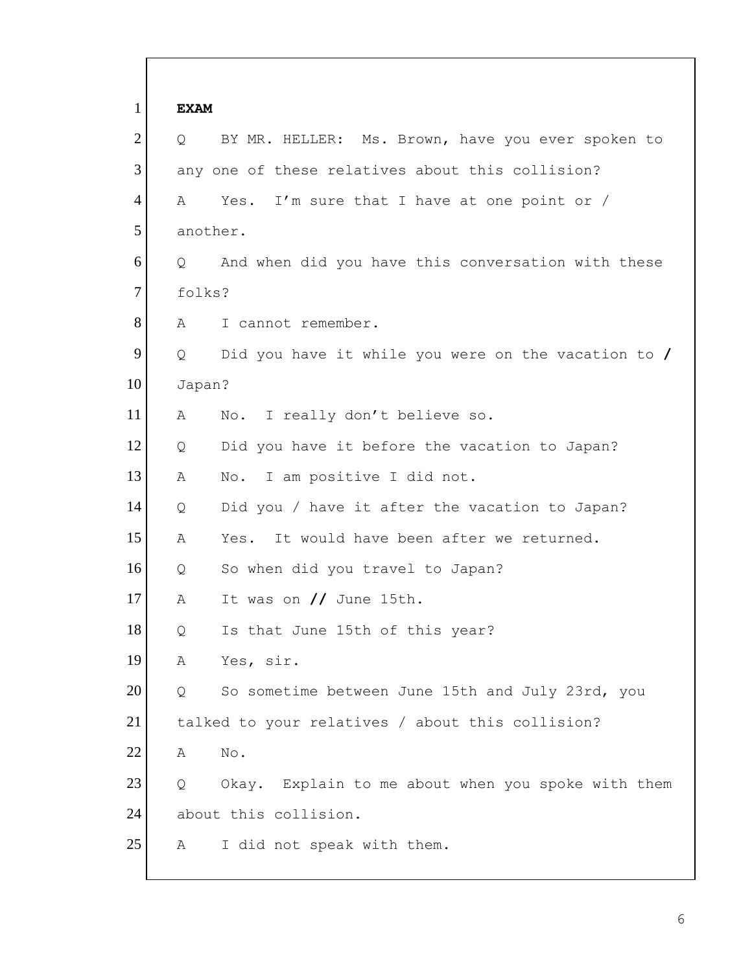| $\mathbf{1}$   | <b>EXAM</b>  |                                                     |
|----------------|--------------|-----------------------------------------------------|
| $\overline{2}$ | Q            | BY MR. HELLER: Ms. Brown, have you ever spoken to   |
| 3              |              | any one of these relatives about this collision?    |
| $\overline{4}$ | A            | Yes. I'm sure that I have at one point or /         |
| 5              |              | another.                                            |
| 6              | Q            | And when did you have this conversation with these  |
| $\overline{7}$ | folks?       |                                                     |
| 8              | A            | I cannot remember.                                  |
| 9              | Q            | Did you have it while you were on the vacation to / |
| 10             | Japan?       |                                                     |
| 11             | Α            | No. I really don't believe so.                      |
| 12             | Q            | Did you have it before the vacation to Japan?       |
| 13             | Α            | No. I am positive I did not.                        |
| 14             | Q            | Did you / have it after the vacation to Japan?      |
| 15             | Α            | It would have been after we returned.<br>Yes.       |
| 16             | Q            | So when did you travel to Japan?                    |
| 17             | Α            | It was on // June 15th.                             |
| 18             | $\mathsf{Q}$ | Is that June 15th of this year?                     |
| 19             | Α            | Yes, sir.                                           |
| 20             | Q            | So sometime between June 15th and July 23rd, you    |
| 21             |              | talked to your relatives / about this collision?    |
| 22             | Α            | $\mathop{\rm No}\nolimits$ .                        |
| 23             | Q            | Okay. Explain to me about when you spoke with them  |
| 24             |              | about this collision.                               |
| 25             | Α            | I did not speak with them.                          |

 $\mathbf{I}$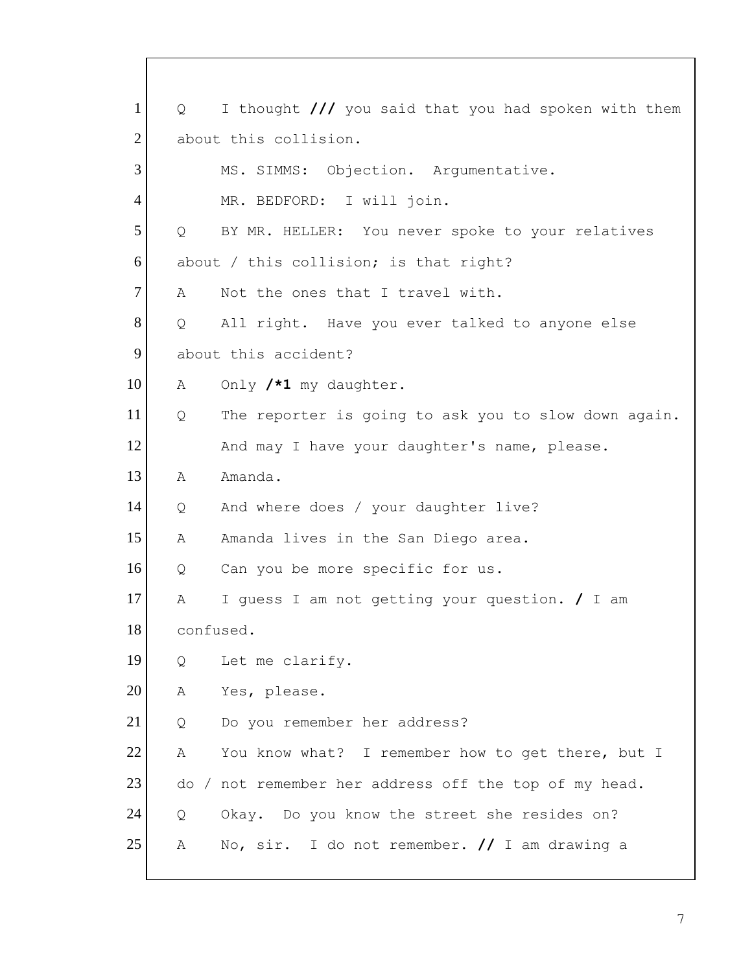| $\mathbf{1}$   | Q         | I thought /// you said that you had spoken with them  |
|----------------|-----------|-------------------------------------------------------|
| $\overline{2}$ |           | about this collision.                                 |
| 3              |           | MS. SIMMS: Objection. Argumentative.                  |
| $\overline{4}$ |           | MR. BEDFORD: I will join.                             |
| 5              | Q         | BY MR. HELLER: You never spoke to your relatives      |
| 6              |           | about / this collision; is that right?                |
| $\overline{7}$ | A         | Not the ones that I travel with.                      |
| 8              | Q         | All right. Have you ever talked to anyone else        |
| 9              |           | about this accident?                                  |
| 10             | Α         | Only /*1 my daughter.                                 |
| 11             | Q         | The reporter is going to ask you to slow down again.  |
| 12             |           | And may I have your daughter's name, please.          |
| 13             | Α         | Amanda.                                               |
| 14             | Q         | And where does / your daughter live?                  |
| 15             | Α         | Amanda lives in the San Diego area.                   |
| 16             | Q         | Can you be more specific for us.                      |
| 17             | Α         | I quess I am not getting your question. / I am        |
| 18             | confused. |                                                       |
| 19             | Q         | Let me clarify.                                       |
| 20             | Α         | Yes, please.                                          |
| 21             | Q         | Do you remember her address?                          |
| 22             | A         | You know what? I remember how to get there, but I     |
| 23             |           | do / not remember her address off the top of my head. |
| 24             | Q         | Okay. Do you know the street she resides on?          |
| 25             | Α         | No, sir. I do not remember. $//$ I am drawing a       |
|                |           |                                                       |

 $\mathbf{I}$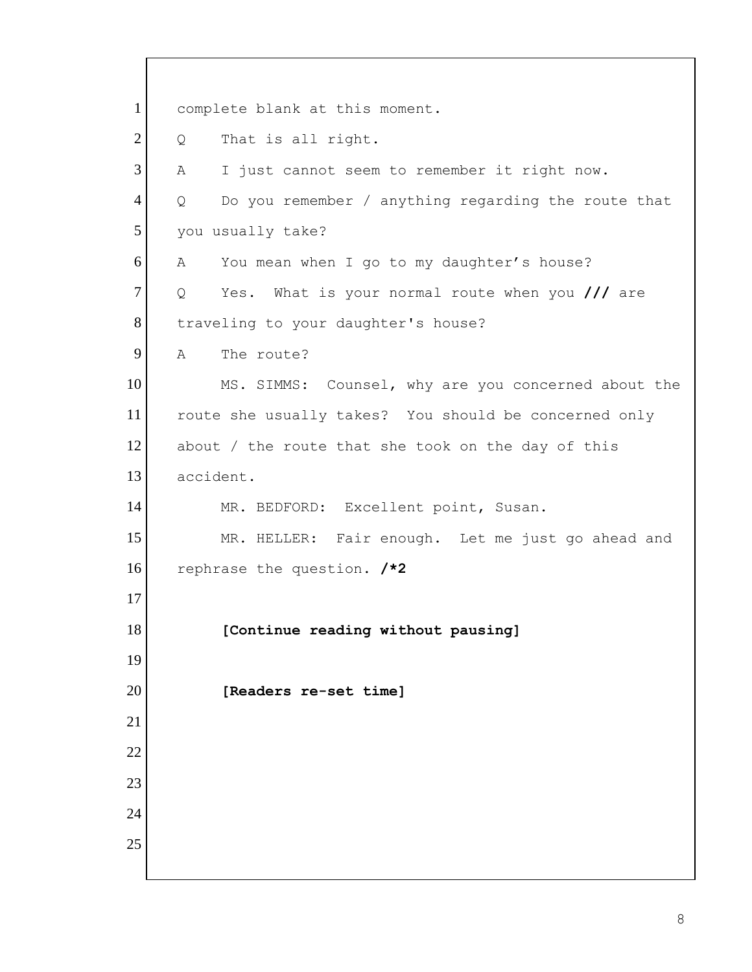1 complete blank at this moment. Q That is all right. A I just cannot seem to remember it right now. 4 | Q Do you remember / anything regarding the route that 5 you usually take? A You mean when I go to my daughter's house? Q Yes. What is your normal route when you **///** are 8 traveling to your daughter's house? 9 A The route? 10 MS. SIMMS: Counsel, why are you concerned about the route she usually takes? You should be concerned only 12 about / the route that she took on the day of this accident. 14 MR. BEDFORD: Excellent point, Susan. 15 MR. HELLER: Fair enough. Let me just go ahead and rephrase the question. **/\*2 [Continue reading without pausing] [Readers re-set time]**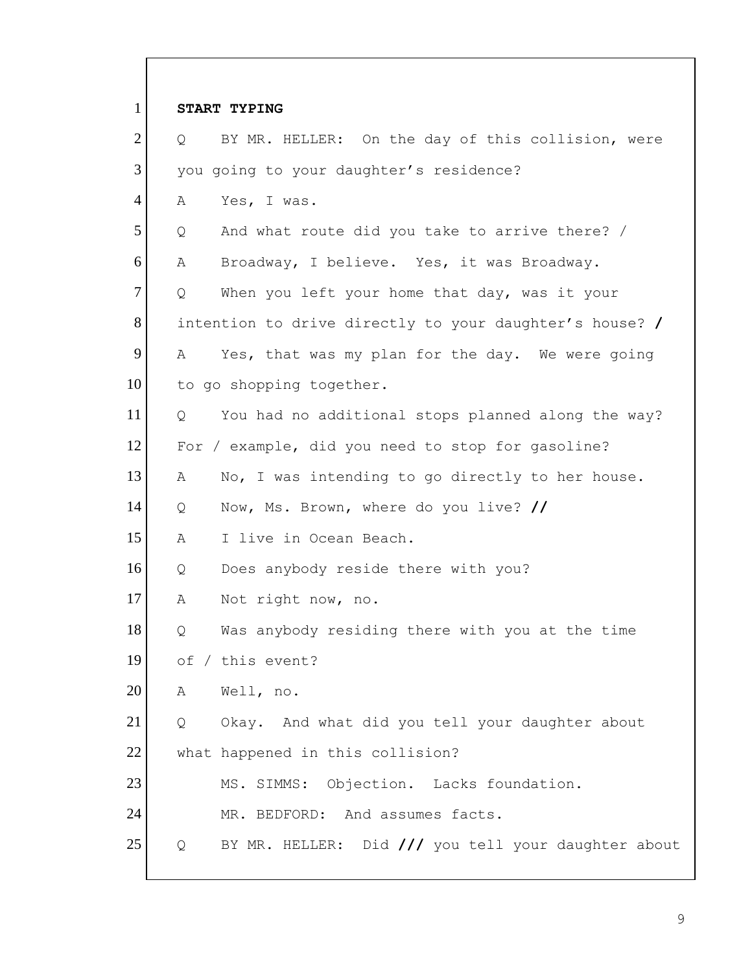| $\mathbf{1}$   | START TYPING                                             |
|----------------|----------------------------------------------------------|
| $\overline{2}$ | BY MR. HELLER: On the day of this collision, were<br>Q   |
| 3              | you going to your daughter's residence?                  |
| $\overline{4}$ | Yes, I was.<br>Α                                         |
| 5              | And what route did you take to arrive there? /<br>Q      |
| 6              | Broadway, I believe. Yes, it was Broadway.<br>Α          |
| $\overline{7}$ | When you left your home that day, was it your<br>Q       |
| 8              | intention to drive directly to your daughter's house? /  |
| 9              | Yes, that was my plan for the day. We were going<br>А    |
| 10             | to go shopping together.                                 |
| 11             | You had no additional stops planned along the way?<br>Q  |
| 12             | For / example, did you need to stop for gasoline?        |
| 13             | No, I was intending to go directly to her house.<br>Α    |
| 14             | Now, Ms. Brown, where do you live? //<br>Q               |
| 15             | I live in Ocean Beach.<br>Α                              |
| 16             | Does anybody reside there with you?<br>Q                 |
| 17             | Α<br>Not right now, no.                                  |
| 18             | Was anybody residing there with you at the time<br>Q     |
| 19             | of / this event?                                         |
| 20             | Well, no.<br>А                                           |
| 21             | Okay. And what did you tell your daughter about<br>Q     |
| 22             | what happened in this collision?                         |
| 23             | MS. SIMMS: Objection. Lacks foundation.                  |
| 24             | MR. BEDFORD: And assumes facts.                          |
| 25             | BY MR. HELLER: Did /// you tell your daughter about<br>Q |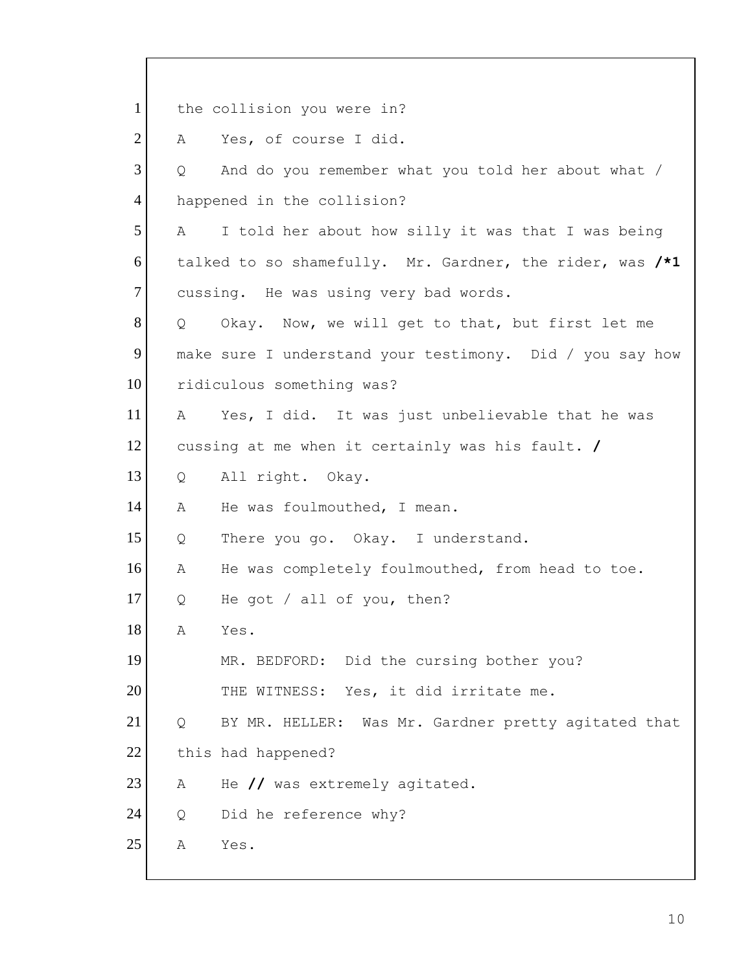1 the collision you were in? 2 A Yes, of course I did.  $3$  Q and do you remember what you told her about what / 4 happened in the collision?  $5$  A I told her about how silly it was that I was being 6 talked to so shamefully. Mr. Gardner, the rider, was **/\*1** 7 cussing. He was using very bad words. 8 | Q Okay. Now, we will get to that, but first let me 9 make sure I understand your testimony. Did / you say how 10 ridiculous something was? 11 A Yes, I did. It was just unbelievable that he was 12 cussing at me when it certainly was his fault. **/** 13 Q All right. Okay. 14 A He was foulmouthed, I mean. 15 | Q There you go. Okay. I understand. 16 A He was completely foulmouthed, from head to toe. 17 Q He got / all of you, then? 18 A Yes. 19 MR. BEDFORD: Did the cursing bother you? 20 THE WITNESS: Yes, it did irritate me. 21 | Q BY MR. HELLER: Was Mr. Gardner pretty agitated that 22 this had happened? 23 A He // was extremely agitated. 24 Q Did he reference why? 25 A Yes.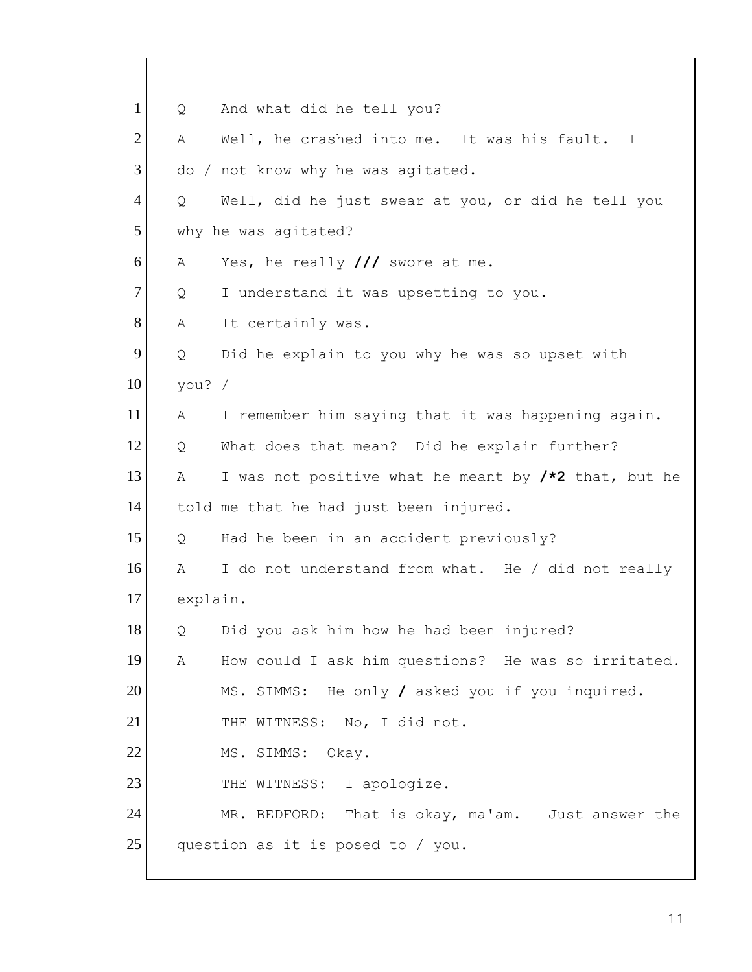| $\mathbf{1}$   | Q        | And what did he tell you?                            |
|----------------|----------|------------------------------------------------------|
| $\overline{2}$ | Α        | Well, he crashed into me. It was his fault. I        |
| 3              |          | do / not know why he was agitated.                   |
| $\overline{4}$ | Q        | Well, did he just swear at you, or did he tell you   |
| 5              |          | why he was agitated?                                 |
| 6              | Α        | Yes, he really $//$ swore at me.                     |
| $\tau$         | Q        | I understand it was upsetting to you.                |
| 8              | Α        | It certainly was.                                    |
| 9              | Q        | Did he explain to you why he was so upset with       |
| 10             | you? $/$ |                                                      |
| 11             | Α        | I remember him saying that it was happening again.   |
| 12             | Q        | What does that mean? Did he explain further?         |
| 13             | Α        | I was not positive what he meant by /*2 that, but he |
| 14             |          | told me that he had just been injured.               |
| 15             | Q        | Had he been in an accident previously?               |
| 16             | Α        | I do not understand from what. He / did not really   |
| 17             | explain. |                                                      |
| 18             | Q        | Did you ask him how he had been injured?             |
| 19             | Α        | How could I ask him questions? He was so irritated.  |
| 20             |          | MS. SIMMS: He only / asked you if you inquired.      |
| 21             |          | THE WITNESS: No, I did not.                          |
| 22             |          | MS. SIMMS: Okay.                                     |
| 23             |          | THE WITNESS: I apologize.                            |
| 24             |          | MR. BEDFORD: That is okay, ma'am. Just answer the    |
| 25             |          | question as it is posed to / you.                    |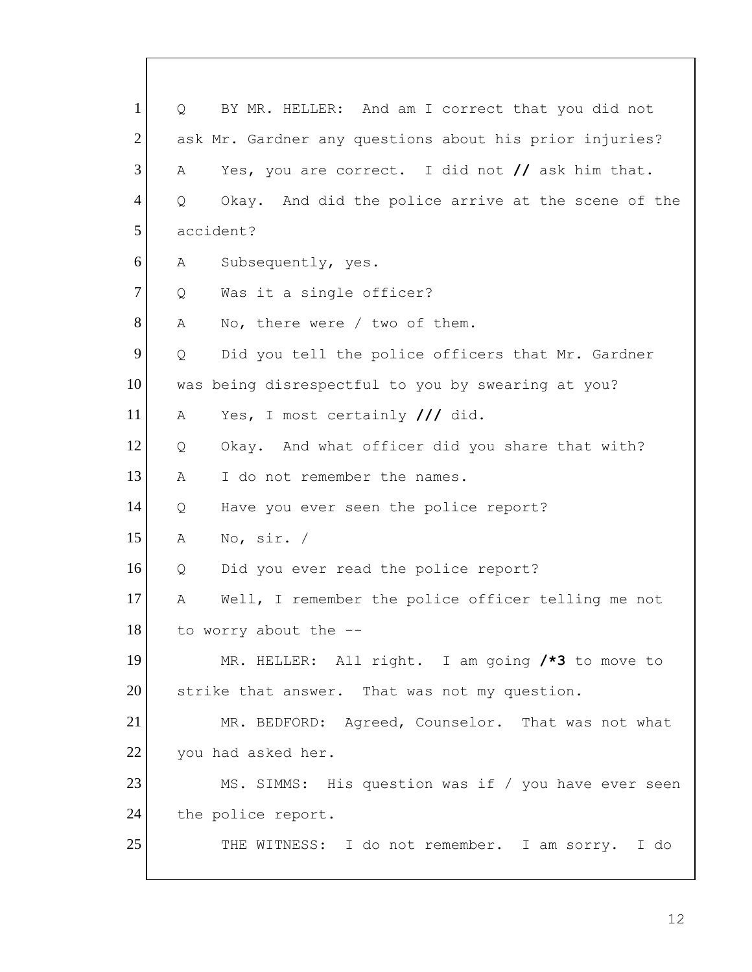1 | Q BY MR. HELLER: And am I correct that you did not 2 ask Mr. Gardner any questions about his prior injuries? 3 A Yes, you are correct. I did not **//** ask him that. 4 Q Okay. And did the police arrive at the scene of the 5 accident? 6 A Subsequently, yes. 7 Q Was it a single officer? 8 A No, there were / two of them. 9 Q Did you tell the police officers that Mr. Gardner 10 was being disrespectful to you by swearing at you? 11 A Yes, I most certainly **///** did. 12 | Q Okay. And what officer did you share that with? 13 A I do not remember the names. 14 Q Have you ever seen the police report? 15 A No, sir. / 16 Q Did you ever read the police report? 17 A Well, I remember the police officer telling me not 18 to worry about the --19 MR. HELLER: All right. I am going **/\*3** to move to 20 strike that answer. That was not my question. 21 MR. BEDFORD: Agreed, Counselor. That was not what 22 you had asked her. 23 MS. SIMMS: His question was if / you have ever seen 24 the police report. 25 THE WITNESS: I do not remember. I am sorry. I do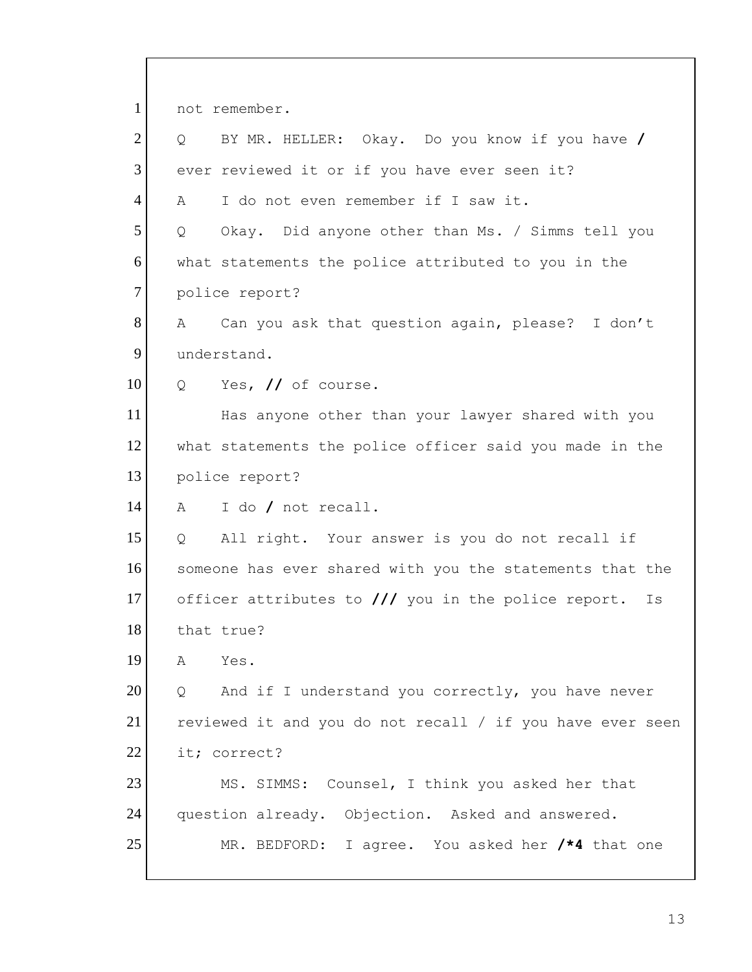1 not remember. 2 Q BY MR. HELLER: Okay. Do you know if you have **/** 3 ever reviewed it or if you have ever seen it? 4 A I do not even remember if I saw it. 5 | Q Okay. Did anyone other than Ms. / Simms tell you 6 what statements the police attributed to you in the 7 police report? 8 A Can you ask that question again, please? I don't 9 understand. 10 Q Yes, // of course. 11 Has anyone other than your lawyer shared with you 12 what statements the police officer said you made in the 13 police report? 14 A I do **/** not recall. 15 Q All right. Your answer is you do not recall if 16 someone has ever shared with you the statements that the 17 officer attributes to **///** you in the police report. Is 18 that true? 19 A Yes.  $20$  Q And if I understand you correctly, you have never 21 reviewed it and you do not recall / if you have ever seen 22 it; correct? 23 MS. SIMMS: Counsel, I think you asked her that 24 question already. Objection. Asked and answered. 25 MR. BEDFORD: I agree. You asked her **/\*4** that one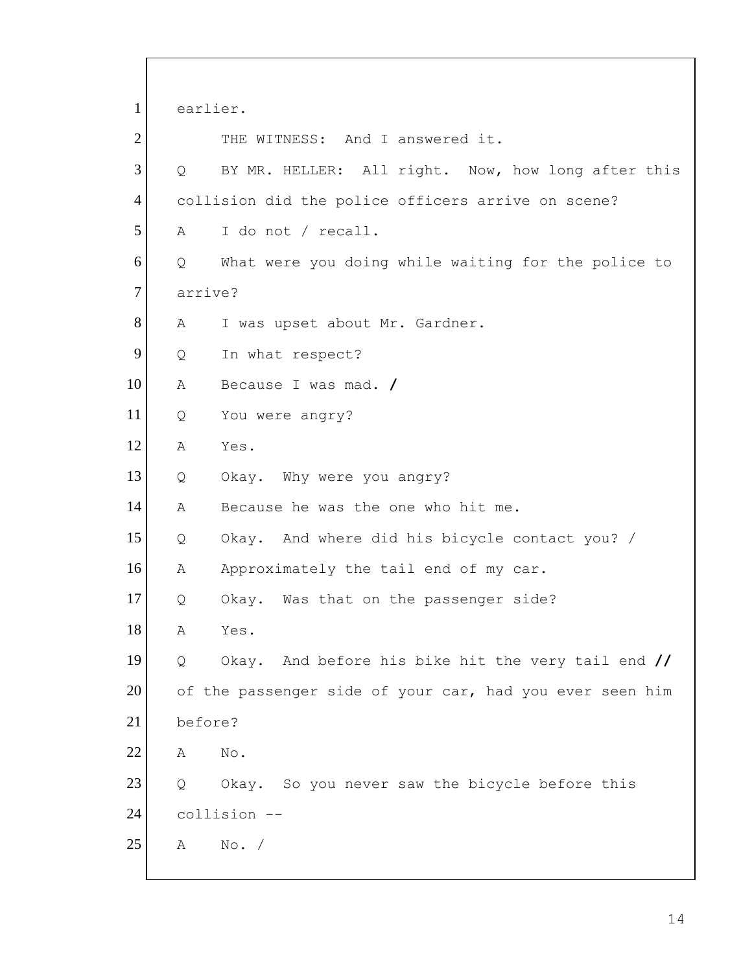1 earlier. 2 THE WITNESS: And I answered it. 3 Q BY MR. HELLER: All right. Now, how long after this 4 collision did the police officers arrive on scene? 5 A I do not / recall. 6 Q What were you doing while waiting for the police to 7 arrive? 8 A I was upset about Mr. Gardner. 9 Q In what respect? 10 A Because I was mad. **/** 11 Q You were angry? 12 A Yes. 13 Q Okay. Why were you angry? 14 A Because he was the one who hit me. 15 Q Okay. And where did his bicycle contact you? / 16 A Approximately the tail end of my car. 17 Q Okay. Was that on the passenger side? 18 A Yes. 19 Q Okay. And before his bike hit the very tail end **//** 20 of the passenger side of your car, had you ever seen him 21 before? 22 A No. 23 Q Okay. So you never saw the bicycle before this 24 collision -- 25 A No. /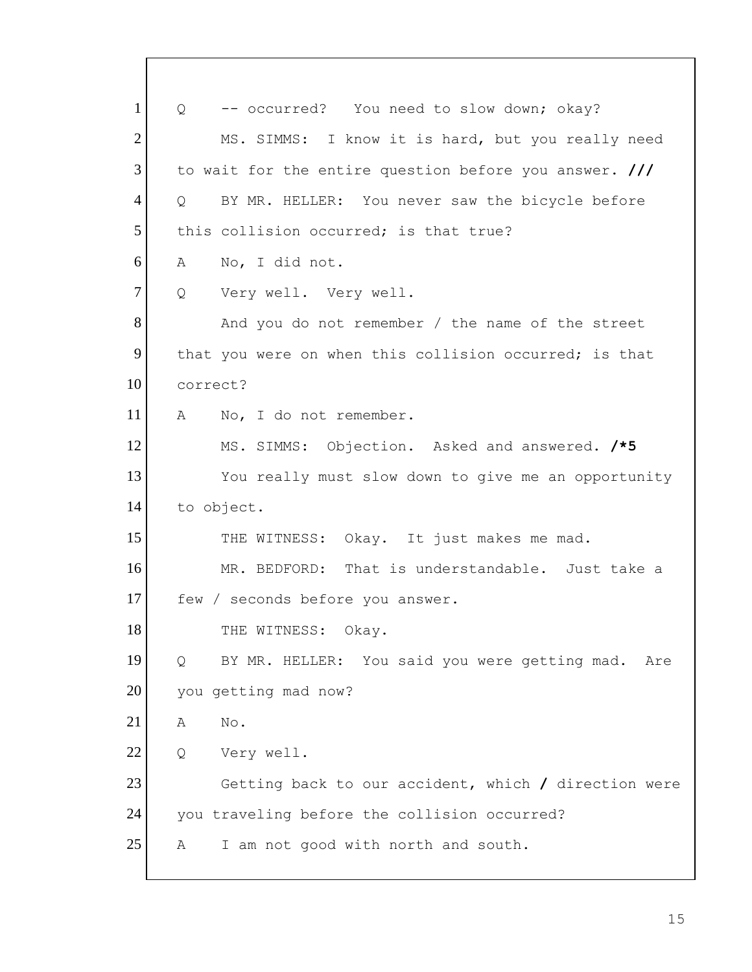| $\mathbf{1}$   | $Q \qquad \qquad$ | -- occurred? You need to slow down; okay?              |
|----------------|-------------------|--------------------------------------------------------|
| $\overline{2}$ |                   | MS. SIMMS: I know it is hard, but you really need      |
| 3              |                   | to wait for the entire question before you answer. /// |
| $\overline{4}$ | $\overline{Q}$    | BY MR. HELLER: You never saw the bicycle before        |
| 5              |                   | this collision occurred; is that true?                 |
| 6              | A                 | No, I did not.                                         |
| 7              | Q                 | Very well. Very well.                                  |
| 8              |                   | And you do not remember / the name of the street       |
| 9              |                   | that you were on when this collision occurred; is that |
| 10             | correct?          |                                                        |
| 11             | A                 | No, I do not remember.                                 |
| 12             |                   | MS. SIMMS: Objection. Asked and answered. /*5          |
| 13             |                   | You really must slow down to give me an opportunity    |
| 14             |                   | to object.                                             |
| 15             |                   | THE WITNESS: Okay. It just makes me mad.               |
| 16             |                   | MR. BEDFORD: That is understandable. Just take a       |
| 17             |                   | few / seconds before you answer.                       |
| 18             |                   | THE WITNESS: Okay.                                     |
| 19             | Q                 | BY MR. HELLER: You said you were getting mad.<br>Are   |
| 20             |                   | you getting mad now?                                   |
| 21             | Α                 | No.                                                    |
| 22             | Q                 | Very well.                                             |
| 23             |                   | Getting back to our accident, which / direction were   |
| 24             |                   | you traveling before the collision occurred?           |
| 25             | Α                 | I am not good with north and south.                    |
|                |                   |                                                        |

 $\mathbf{I}$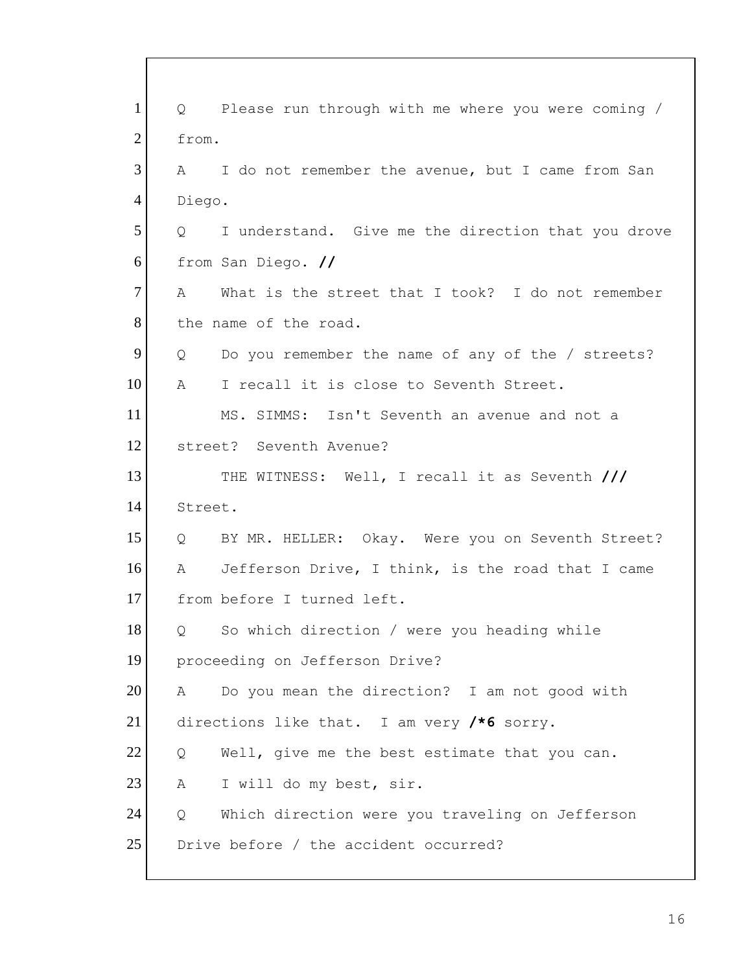| $\mathbf{1}$   | Please run through with me where you were coming /<br>$Q \qquad \qquad$ |
|----------------|-------------------------------------------------------------------------|
| $\overline{2}$ | from.                                                                   |
| 3              | I do not remember the avenue, but I came from San<br>$\mathbf{A}$       |
| 4              | Diego.                                                                  |
| 5              | I understand. Give me the direction that you drove<br>Q                 |
| 6              | from San Diego. //                                                      |
| 7              | What is the street that I took? I do not remember<br>A                  |
| 8              | the name of the road.                                                   |
| 9              | Do you remember the name of any of the / streets?<br>Q                  |
| 10             | A<br>I recall it is close to Seventh Street.                            |
| 11             | MS. SIMMS: Isn't Seventh an avenue and not a                            |
| 12             | street? Seventh Avenue?                                                 |
| 13             | THE WITNESS: Well, I recall it as Seventh ///                           |
| 14             | Street.                                                                 |
| 15             | Q BY MR. HELLER: Okay. Were you on Seventh Street?                      |
| 16             | Jefferson Drive, I think, is the road that I came<br>$A \sim$           |
| 17             | from before I turned left.                                              |
| $18\,$         | So which direction / were you heading while<br>Q                        |
| 19             | proceeding on Jefferson Drive?                                          |
| 20             | Do you mean the direction? I am not good with<br>A                      |
| 21             | directions like that. I am very $/*6$ sorry.                            |
| 22             | Well, give me the best estimate that you can.<br>Q                      |
| 23             | I will do my best, sir.<br>А                                            |
| 24             | Which direction were you traveling on Jefferson<br>Q                    |
| 25             | Drive before / the accident occurred?                                   |
|                |                                                                         |

 $\mathsf{l}$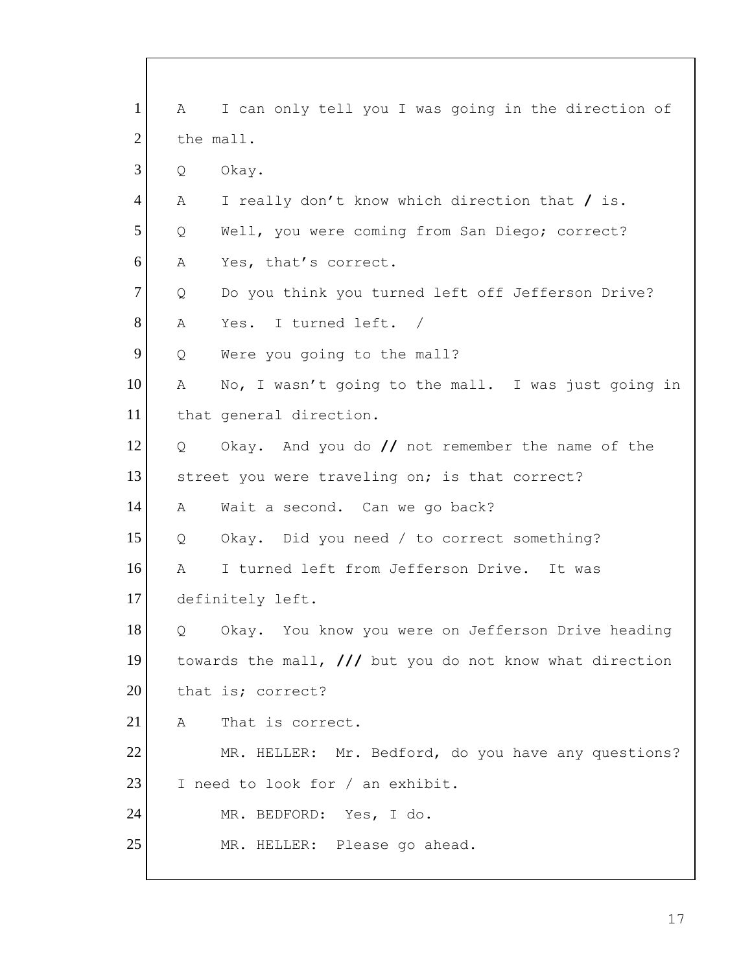| $\mathbf{1}$   | A              | I can only tell you I was going in the direction of      |
|----------------|----------------|----------------------------------------------------------|
| $\overline{2}$ | the mall.      |                                                          |
| 3              | Q              | Okay.                                                    |
| $\overline{4}$ | A              | I really don't know which direction that / is.           |
| 5              | Q              | Well, you were coming from San Diego; correct?           |
| 6              | А              | Yes, that's correct.                                     |
| 7              | Q              | Do you think you turned left off Jefferson Drive?        |
| 8              | Α              | Yes. I turned left. /                                    |
| 9              | Q              | Were you going to the mall?                              |
| 10             | Α              | No, I wasn't going to the mall. I was just going in      |
| 11             |                | that general direction.                                  |
| 12             | $\overline{Q}$ | Okay. And you do // not remember the name of the         |
| 13             |                | street you were traveling on; is that correct?           |
| 14             | A              | Wait a second. Can we go back?                           |
| 15             | Q              | Okay. Did you need / to correct something?               |
| 16             | A              | I turned left from Jefferson Drive. It was               |
| 17             |                | definitely left.                                         |
| 18             | Q              | Okay. You know you were on Jefferson Drive heading       |
| 19             |                | towards the mall, /// but you do not know what direction |
| 20             |                | that is; correct?                                        |
| 21             | A              | That is correct.                                         |
| 22             |                | MR. HELLER: Mr. Bedford, do you have any questions?      |
| 23             |                | I need to look for / an exhibit.                         |
| 24             |                | MR. BEDFORD: Yes, I do.                                  |
| 25             |                | MR. HELLER: Please go ahead.                             |
|                |                |                                                          |

 $\mathsf{l}$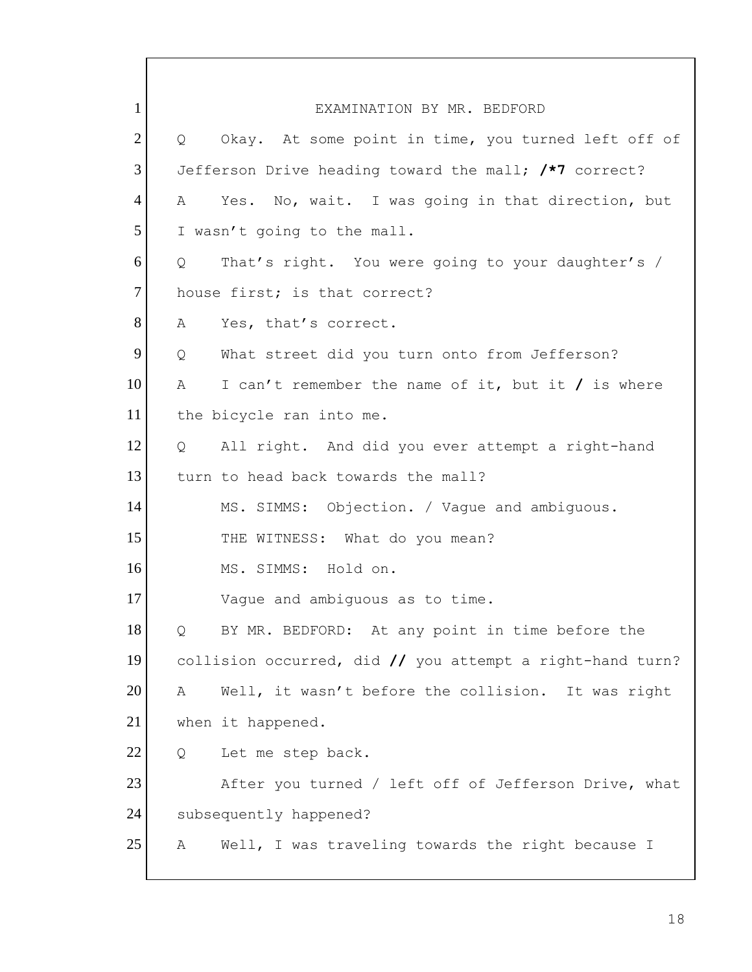1 EXAMINATION BY MR. BEDFORD  $2$  Q Okay. At some point in time, you turned left off of 3 Jefferson Drive heading toward the mall; **/\*7** correct? 4 A Yes. No, wait. I was going in that direction, but 5 I wasn't going to the mall. 6 Q That's right. You were going to your daughter's / 7 house first; is that correct? 8 A Yes, that's correct. 9 Q What street did you turn onto from Jefferson? 10 A I can't remember the name of it, but it **/** is where 11 the bicycle ran into me. 12 Q All right. And did you ever attempt a right-hand 13 turn to head back towards the mall? 14 MS. SIMMS: Objection. / Vaque and ambiguous. 15 THE WITNESS: What do you mean? 16 MS. SIMMS: Hold on. 17 Vague and ambiguous as to time. 18 | Q BY MR. BEDFORD: At any point in time before the 19 collision occurred, did **//** you attempt a right-hand turn? 20 A Well, it wasn't before the collision. It was right 21 when it happened. 22 Q Let me step back. 23 After you turned / left off of Jefferson Drive, what 24 subsequently happened? 25 A Well, I was traveling towards the right because I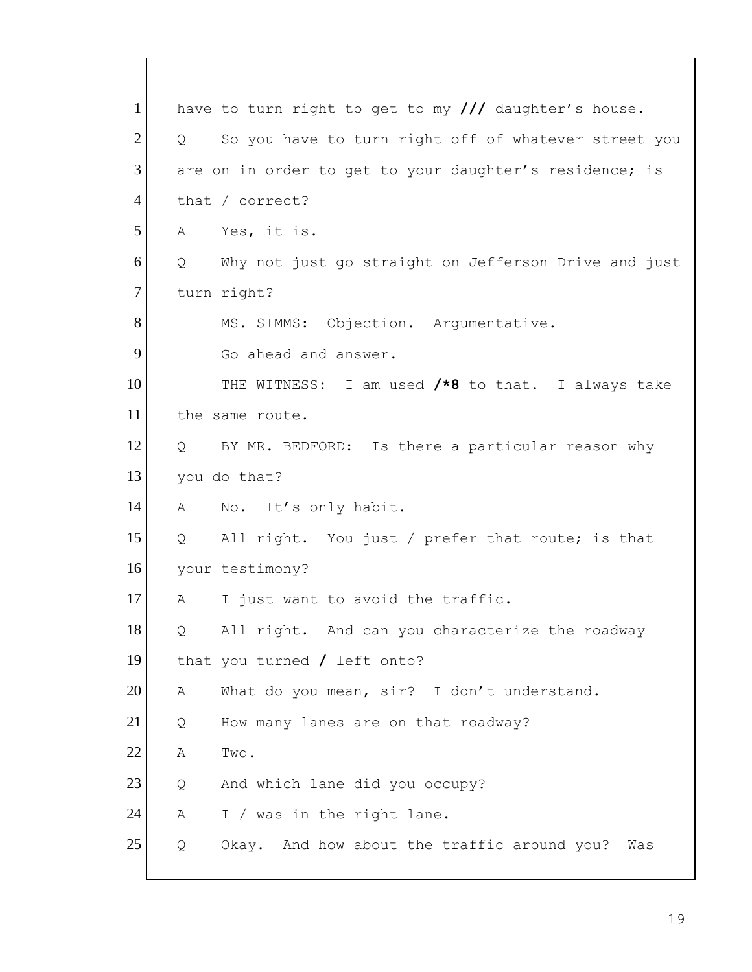|                   | have to turn right to get to my /// daughter's house.   |
|-------------------|---------------------------------------------------------|
| $Q \qquad \qquad$ | So you have to turn right off of whatever street you    |
|                   | are on in order to get to your daughter's residence; is |
|                   | that / $correct?$                                       |
| A                 | Yes, it is.                                             |
| Q                 | Why not just go straight on Jefferson Drive and just    |
|                   | turn right?                                             |
|                   | MS. SIMMS: Objection. Argumentative.                    |
|                   | Go ahead and answer.                                    |
|                   | THE WITNESS: I am used /*8 to that. I always take       |
|                   | the same route.                                         |
|                   | Q BY MR. BEDFORD: Is there a particular reason why      |
|                   | you do that?                                            |
| Α                 | No. It's only habit.                                    |
| $Q_{\rm c}$       | All right. You just / prefer that route; is that        |
|                   | your testimony?                                         |
| A                 | I just want to avoid the traffic.                       |
| Q                 | All right. And can you characterize the roadway         |
|                   | that you turned $/$ left onto?                          |
| Α                 | What do you mean, sir? I don't understand.              |
| Q                 | How many lanes are on that roadway?                     |
| Α                 | Two.                                                    |
|                   |                                                         |
| Q                 | And which lane did you occupy?                          |
| Α                 | I / was in the right lane.                              |
|                   |                                                         |

 $\mathsf{l}$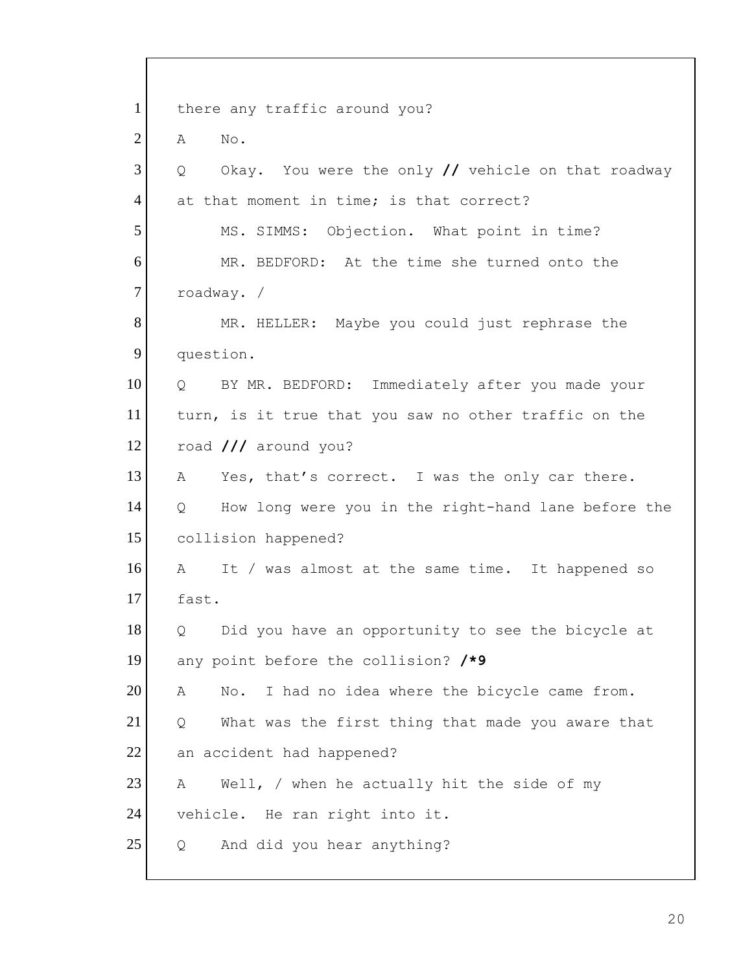| $\mathbf{1}$   | there any traffic around you?                                       |
|----------------|---------------------------------------------------------------------|
| $\overline{2}$ | No.<br>Α                                                            |
| 3              | Okay. You were the only $\prime\prime$ vehicle on that roadway<br>Q |
| $\overline{4}$ | at that moment in time; is that correct?                            |
| 5              | MS. SIMMS: Objection. What point in time?                           |
| 6              | MR. BEDFORD: At the time she turned onto the                        |
| $\tau$         | roadway. /                                                          |
| 8              | MR. HELLER: Maybe you could just rephrase the                       |
| 9              | question.                                                           |
| 10             | Q BY MR. BEDFORD: Immediately after you made your                   |
| 11             | turn, is it true that you saw no other traffic on the               |
| 12             | road /// around you?                                                |
| 13             | Yes, that's correct. I was the only car there.<br>A                 |
| 14             | How long were you in the right-hand lane before the<br>Q            |
| 15             | collision happened?                                                 |
| 16             | It / was almost at the same time. It happened so<br>$\mathbb A$     |
| 17             | fast.                                                               |
| 18             | Did you have an opportunity to see the bicycle at<br>Q              |
| 19             | any point before the collision? /*9                                 |
| 20             | I had no idea where the bicycle came from.<br>Α<br>No.              |
| 21             | What was the first thing that made you aware that<br>Q              |
| 22             | an accident had happened?                                           |
| 23             | Well, $/$ when he actually hit the side of my<br>А                  |
| 24             | vehicle. He ran right into it.                                      |
| 25             | And did you hear anything?<br>Q                                     |
|                |                                                                     |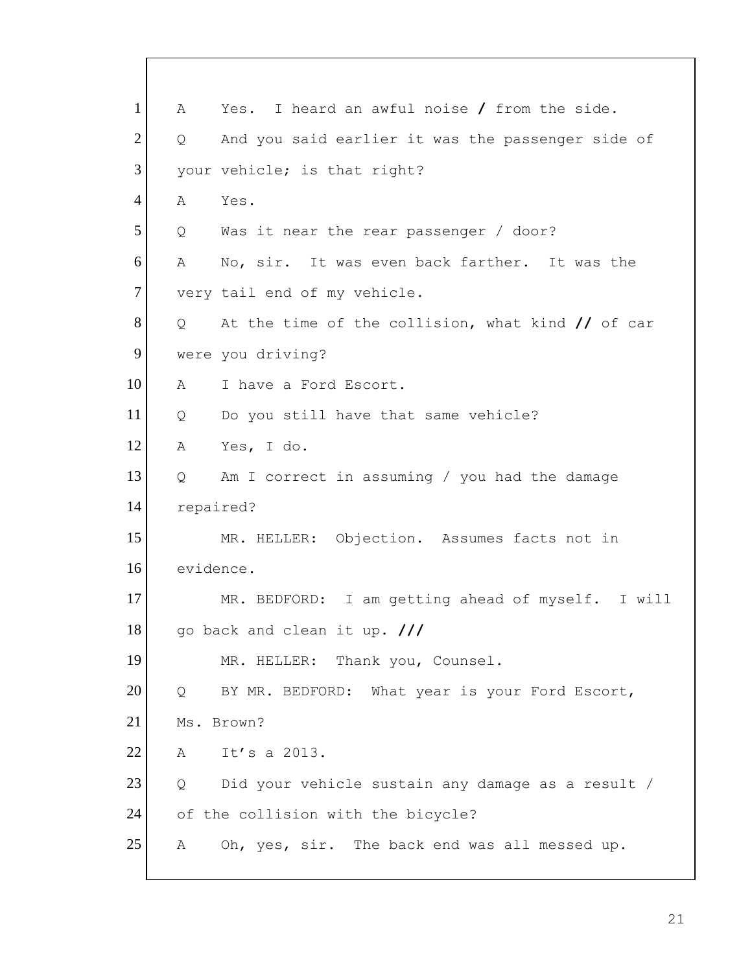| $\mathbf{1}$   | Α           | Yes. I heard an awful noise / from the side.                        |
|----------------|-------------|---------------------------------------------------------------------|
| $\overline{2}$ | Q           | And you said earlier it was the passenger side of                   |
| 3              |             | your vehicle; is that right?                                        |
| $\overline{4}$ | Α           | Yes.                                                                |
| 5              | Q           | Was it near the rear passenger / door?                              |
| 6              | $\mathbb A$ | No, sir. It was even back farther. It was the                       |
| $\tau$         |             | very tail end of my vehicle.                                        |
| 8              | Q           | At the time of the collision, what kind $\frac{1}{\sqrt{2}}$ of car |
| 9              |             | were you driving?                                                   |
| 10             | A           | I have a Ford Escort.                                               |
| 11             | Q           | Do you still have that same vehicle?                                |
| 12             | Α           | Yes, I do.                                                          |
| 13             | Q           | Am I correct in assuming / you had the damage                       |
| 14             |             | repaired?                                                           |
| 15             |             | MR. HELLER: Objection. Assumes facts not in                         |
| 16             | evidence.   |                                                                     |
| 17             |             | MR. BEDFORD: I am getting ahead of myself. I will                   |
| 18             |             | go back and clean it up. ///                                        |
| 19             |             | MR. HELLER: Thank you, Counsel.                                     |
| 20             | Q           | BY MR. BEDFORD: What year is your Ford Escort,                      |
| 21             |             | Ms. Brown?                                                          |
| 22             | Α           | It's a 2013.                                                        |
| 23             | Q           | Did your vehicle sustain any damage as a result /                   |
| 24             |             | of the collision with the bicycle?                                  |
| 25             | Α           | Oh, yes, sir. The back end was all messed up.                       |
|                |             |                                                                     |